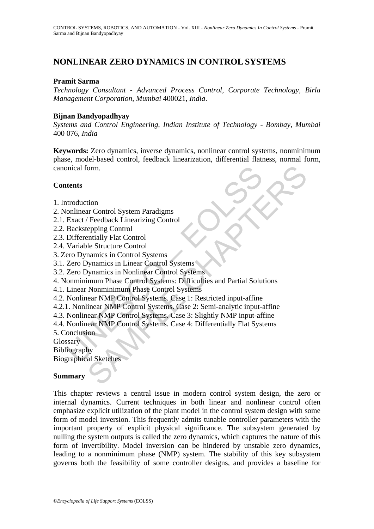# **NONLINEAR ZERO DYNAMICS IN CONTROL SYSTEMS**

#### **Pramit Sarma**

*Technology Consultant - Advanced Process Control*, *Corporate Technology*, *Birla Management Corporation*, *Mumbai* 400021, *India*.

#### **Bijnan Bandyopadhyay**

*Systems and Control Engineering*, *Indian Institute of Technology - Bombay*, *Mumbai*  400 076, *India* 

For Control System Paradigms<br>
are Control System Paradigms<br>
Teedback Linearizing Control<br>
Exercute Control<br>
ananics in Control Systems<br>
Synamics in Linear Control Systems<br>
Synamics in Nonlinear Control Systems<br>
Nonminimum **Keywords:** Zero dynamics, inverse dynamics, nonlinear control systems, nonminimum phase, model-based control, feedback linearization, differential flatness, normal form, canonical form.

#### **Contents**

- 1. Introduction
- 2. Nonlinear Control System Paradigms
- 2.1. Exact / Feedback Linearizing Control
- 2.2. Backstepping Control
- 2.3. Differentially Flat Control
- 2.4. Variable Structure Control
- 3. Zero Dynamics in Control Systems
- 3.1. Zero Dynamics in Linear Control Systems
- 3.2. Zero Dynamics in Nonlinear Control Systems
- nical form.<br>
Incoluction<br>
Incordinate Control System Paradigms<br>
Exact / Feedback Linearizing Control<br>
Backstepping Control<br>
Differentially Flat Control<br>
Urainle Structure Control<br>
Variable Structure Control<br>
Urainle Struct 4. Nonminimum Phase Control Systems: Difficulties and Partial Solutions
- 4.1. Linear Nonminimum Phase Control Systems
- 4.2. Nonlinear NMP Control Systems. Case 1: Restricted input-affine
- 4.2.1. Nonlinear NMP Control Systems. Case 2: Semi-analytic input-affine
- 4.3. Nonlinear NMP Control Systems. Case 3: Slightly NMP input-affine
- 4.4. Nonlinear NMP Control Systems. Case 4: Differentially Flat Systems
- 5. Conclusion

**Glossary** 

Bibliography

Biographical Sketches

# **Summary**

This chapter reviews a central issue in modern control system design, the zero or internal dynamics. Current techniques in both linear and nonlinear control often emphasize explicit utilization of the plant model in the control system design with some form of model inversion. This frequently admits tunable controller parameters with the important property of explicit physical significance. The subsystem generated by nulling the system outputs is called the zero dynamics, which captures the nature of this form of invertibility. Model inversion can be hindered by unstable zero dynamics, leading to a nonminimum phase (NMP) system. The stability of this key subsystem governs both the feasibility of some controller designs, and provides a baseline for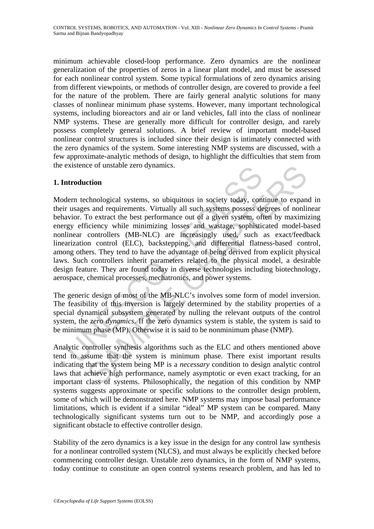minimum achievable closed-loop performance. Zero dynamics are the nonlinear generalization of the properties of zeros in a linear plant model, and must be assessed for each nonlinear control system. Some typical formulations of zero dynamics arising from different viewpoints, or methods of controller design, are covered to provide a feel for the nature of the problem. There are fairly general analytic solutions for many classes of nonlinear minimum phase systems. However, many important technological systems, including bioreactors and air or land vehicles, fall into the class of nonlinear NMP systems. These are generally more difficult for controller design, and rarely possess completely general solutions. A brief review of important model-based nonlinear control structures is included since their design is intimately connected with the zero dynamics of the system. Some interesting NMP systems are discussed, with a few approximate-analytic methods of design, to highlight the difficulties that stem from the existence of unstable zero dynamics.

# **1. Introduction**

absolvence of unstable zero dynamics.<br>
Introduction<br>
Ident technological systems, so ubiquitous in society today, contract<br>
are the best performance out of a given systems possess de<br>
avior. To extract the best performance considerate a system solution is notically and the system by the systems of the systems of the systems and requirements. Virtually all such systems possess degrees of nonlife o expans and requirements. Virtually all such s Modern technological systems, so ubiquitous in society today, continue to expand in their usages and requirements. Virtually all such systems possess degrees of nonlinear behavior. To extract the best performance out of a given system, often by maximizing energy efficiency while minimizing losses and wastage, sophisticated model-based nonlinear controllers (MB-NLC) are increasingly used, such as exact/feedback linearization control (ELC), backstepping, and differential flatness-based control, among others. They tend to have the advantage of being derived from explicit physical laws. Such controllers inherit parameters related to the physical model, a desirable design feature. They are found today in diverse technologies including biotechnology, aerospace, chemical processes, mechatronics, and power systems.

The generic design of most of the MB-NLC's involves some form of model inversion. The feasibility of this inversion is largely determined by the stability properties of a special dynamical subsystem generated by nulling the relevant outputs of the control system, the *zero dynamics*. If the zero dynamics system is stable, the system is said to be minimum phase (MP). Otherwise it is said to be nonminimum phase (NMP).

Analytic controller synthesis algorithms such as the ELC and others mentioned above tend to assume that the system is minimum phase. There exist important results indicating that the system being MP is a *necessary* condition to design analytic control laws that achieve high performance, namely asymptotic or even exact tracking, for an important class of systems. Philosophically, the negation of this condition by NMP systems suggests approximate or specific solutions to the controller design problem, some of which will be demonstrated here. NMP systems may impose basal performance limitations, which is evident if a similar "ideal" MP system can be compared. Many technologically significant systems turn out to be NMP, and accordingly pose a significant obstacle to effective controller design.

Stability of the zero dynamics is a key issue in the design for any control law synthesis for a nonlinear controlled system (NLCS), and must always be explicitly checked before commencing controller design. Unstable zero dynamics, in the form of NMP systems, today continue to constitute an open control systems research problem, and has led to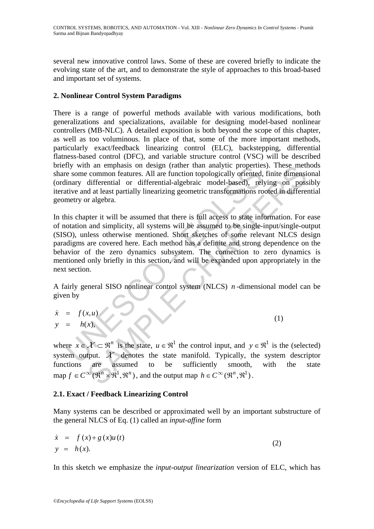several new innovative control laws. Some of these are covered briefly to indicate the evolving state of the art, and to demonstrate the style of approaches to this broad-based and important set of systems.

# **2. Nonlinear Control System Paradigms**

There is a range of powerful methods available with various modifications, both generalizations and specializations, available for designing model-based nonlinear controllers (MB-NLC). A detailed exposition is both beyond the scope of this chapter, as well as too voluminous. In place of that, some of the more important methods, particularly exact/feedback linearizing control (ELC), backstepping, differential flatness-based control (DFC), and variable structure control (VSC) will be described briefly with an emphasis on design (rather than analytic properties). These methods share some common features. All are function topologically oriented, finite dimensional (ordinary differential or differential-algebraic model-based), relying on possibly iterative and at least partially linearizing geometric transformations rooted in differential geometry or algebra.

If with an emphasis on design (rather than analytic properties<br>
esome common features. All are function topologically oriented,<br>
inary differential or differential-algebraic model-based), relative and at least partially l in an emphass on design (rather than analytic properties). These metted in an emphass on design (rather than analytic properties). These metted differential or differential-algebraic model-based), relying on possed at lea In this chapter it will be assumed that there is full access to state information. For ease of notation and simplicity, all systems will be assumed to be single-input/single-output (SISO), unless otherwise mentioned. Short sketches of some relevant NLCS design paradigms are covered here. Each method has a definite and strong dependence on the behavior of the zero dynamics subsystem. The connection to zero dynamics is mentioned only briefly in this section, and will be expanded upon appropriately in the next section.

A fairly general SISO nonlinear control system (NLCS) *n* -dimensional model can be given by

$$
\dot{x} = f(x, u) \n y = h(x),
$$
\n(1)

where  $x \in \mathcal{X} \subset \mathbb{R}^n$  is the state,  $u \in \mathbb{R}^1$  the control input, and  $y \in \mathbb{R}^1$  is the (selected) system output.  $X$  denotes the state manifold. Typically, the system descriptor functions are assumed to be sufficiently smooth, with the state map  $f \in C^{\infty}(\mathbb{R}^n \times \mathbb{R}^1, \mathbb{R}^n)$ , and the output map  $h \in C^{\infty}(\mathbb{R}^n, \mathbb{R}^1)$ .

# **2.1. Exact / Feedback Linearizing Control**

Many systems can be described or approximated well by an important substructure of the general NLCS of Eq. (1) called an *input-affine* form

$$
\dot{x} = f(x) + g(x)u(t) \n y = h(x).
$$
\n(2)

In this sketch we emphasize the *input-output linearization* version of ELC, which has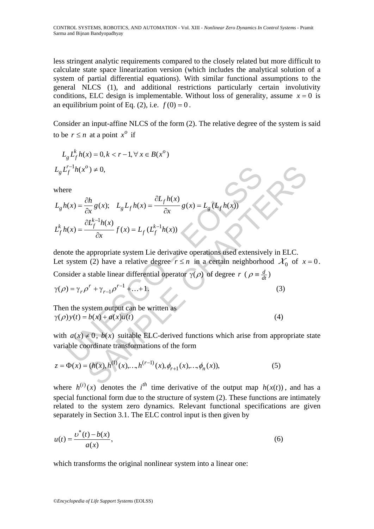less stringent analytic requirements compared to the closely related but more difficult to calculate state space linearization version (which includes the analytical solution of a system of partial differential equations). With similar functional assumptions to the general NLCS (1), and additional restrictions particularly certain involutivity conditions, ELC design is implementable. Without loss of generality, assume  $x = 0$  is an equilibrium point of Eq. (2), i.e.  $f(0) = 0$ .

Consider an input-affine NLCS of the form (2). The relative degree of the system is said to be  $r \leq n$  at a point  $x^{\circ}$  if

$$
L_g L_f^k h(x) = 0, k < r - 1, \forall x \in B(x^o)
$$
  

$$
L_g L_f^{r-1} h(x^o) \neq 0,
$$

where

$$
L_g L_f^{-1}h(x^o) \neq 0,
$$
  
where  

$$
L_g h(x) = \frac{\partial h}{\partial x} g(x); \quad L_g L_f h(x) = \frac{\partial L_f h(x)}{\partial x} g(x) = L_g (L_f h(x))
$$
  

$$
L_f^k h(x) = \frac{\partial L_f^{k-1}h(x)}{\partial x} f(x) = L_f (L_f^{k-1}h(x))
$$
  
denote the appropriate system Lie derivative operations used extensively in ELC.  
Let system (2) have a relative degree  $r \leq n$  in a certain neighborhood  $X_0$  of x  
Consider a stable linear differential operator  $\gamma(\rho)$  of degree  $r (\rho = \frac{d}{dt})$   

$$
\gamma(\rho) = \gamma_r \rho^r + \gamma_{r-1} \rho^{r-1} + ... + 1.
$$
  
Then the system output can be written as  

$$
\gamma(\rho) y(t) = b(x) + a(x)u(t)
$$
  
with  $a(x) \neq 0$ ,  $b(x)$  suitable ELC-derived functions which arise from appropriate  
variable coordinate transformations of the form  

$$
z = \Phi(x) = (h(x), h^{(1)}(x), ..., h^{(r-1)}(x), \phi_{r+1}(x), ..., \phi_n(x)),
$$
 (5)

denote the appropriate system Lie derivative operations used extensively in ELC. Let system (2) have a relative degree  $r \le n$  in a certain neighborhood  $\mathcal{X}_0$  of  $x = 0$ .

Consider a stable linear differential operator  $\gamma(\rho)$  of degree  $r$  ( $\rho = \frac{d}{dt}$ )

$$
\gamma(\rho) = \gamma_r \rho^r + \gamma_{r-1} \rho^{r-1} + \dots + 1. \tag{3}
$$

Then the system output can be written as  $\gamma(\rho) y(t) = b(x) + a(x)u(t)$  (4)

with  $a(x) \neq 0$ ,  $b(x)$  suitable ELC-derived functions which arise from appropriate state variable coordinate transformations of the form

$$
z = \Phi(x) = (h(x), h^{(1)}(x), \dots, h^{(r-1)}(x), \phi_{r+1}(x), \dots, \phi_n(x)),
$$
\n(5)

where  $h^{(i)}(x)$  denotes the *i*<sup>th</sup> time derivative of the output map  $h(x(t))$ , and has a special functional form due to the structure of system (2). These functions are intimately related to the system zero dynamics. Relevant functional specifications are given separately in Section 3.1. The ELC control input is then given by

$$
u(t) = \frac{v^*(t) - b(x)}{a(x)},
$$
\n(6)

which transforms the original nonlinear system into a linear one: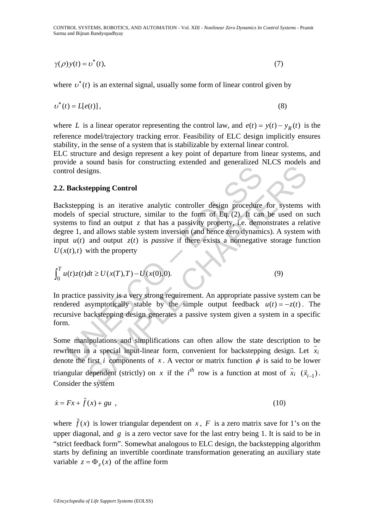CONTROL SYSTEMS, ROBOTICS, AND AUTOMATION - Vol. XIII - *Nonlinear Zero Dynamics In Control Systems* - Pramit Sarma and Bijnan Bandyopadhyay

$$
\gamma(\rho)y(t) = v^*(t),\tag{7}
$$

where  $v^*(t)$  is an external signal, usually some form of linear control given by

$$
v^*(t) = L[e(t)],\tag{8}
$$

where *L* is a linear operator representing the control law, and  $e(t) = y(t) - y_R(t)$  is the reference model/trajectory tracking error. Feasibility of ELC design implicitly ensures stability, in the sense of a system that is stabilizable by external linear control.

ELC structure and design represent a key point of departure from linear systems, and provide a sound basis for constructing extended and generalized NLCS models and control designs.

#### **2.2. Backstepping Control**

from designs.<br> **Backstepping Control**<br>
kstepping is an iterative analytic controller design procedure<br>
leles of special structure, similar to the form of Eq. (2). It can<br>
ere 1, and allows stable system inversion (and hen digns.<br> **Example Control**<br>
igns.<br> **Example Control**<br>
igns.<br> **Example Control**<br>
igns.<br> **Example Control**<br>
find an output z that has a passivity property, i.e. demonstrates a relation<br>
and allows stable system inversion (an Backstepping is an iterative analytic controller design procedure for systems with models of special structure, similar to the form of Eq. (2). It can be used on such systems to find an output  $\zeta$  that has a passivity property, i.e. demonstrates a relative degree 1, and allows stable system inversion (and hence zero dynamics). A system with input  $u(t)$  and output  $z(t)$  is *passive* if there exists a nonnegative storage function  $U(x(t), t)$  with the property

$$
\int_0^T u(t)z(t)dt \ge U(x(T),T) - U(x(0),0).
$$
 (9)

In practice passivity is a very strong requirement. An appropriate passive system can be rendered asymptotically stable by the simple output feedback  $u(t) = -z(t)$ . The recursive backstepping design generates a passive system given a system in a specific form.

Some manipulations and simplifications can often allow the state description to be rewritten in a special input-linear form, convenient for backstepping design. Let  $\bar{x}_i$ denote the first *i* components of *x*. A vector or matrix function  $\phi$  is said to be lower triangular dependent (strictly) on *x* if the  $i^{th}$  row is a function at most of  $\vec{x}_i$  $(\vec{x}_{i-1})$ . Consider the system

$$
\dot{x} = Fx + \tilde{f}(x) + gu \tag{10}
$$

where  $\tilde{f}(x)$  is lower triangular dependent on *x*, *F* is a zero matrix save for 1's on the upper diagonal, and *g* is a zero vector save for the last entry being 1. It is said to be in "strict feedback form". Somewhat analogous to ELC design, the backstepping algorithm starts by defining an invertible coordinate transformation generating an auxiliary state variable  $z = \Phi_x(x)$  of the affine form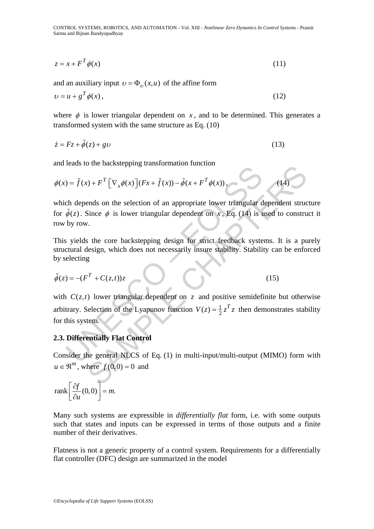CONTROL SYSTEMS, ROBOTICS, AND AUTOMATION - Vol. XIII - *Nonlinear Zero Dynamics In Control Systems* - Pramit Sarma and Bijnan Bandyopadhyay

$$
z = x + F^T \phi(x) \tag{11}
$$

and an auxiliary input  $v = \Phi_{v}(x, u)$  of the affine form

$$
\upsilon = u + g^T \phi(x),\tag{12}
$$

where  $\phi$  is lower triangular dependent on *x*, and to be determined. This generates a transformed system with the same structure as Eq. (10)

$$
\dot{z} = Fz + \tilde{\phi}(z) + g\upsilon \tag{13}
$$

and leads to the backstepping transformation function

$$
\phi(x) = \tilde{f}(x) + F^T \left[ \nabla_x \phi(x) \right] (Fx + \tilde{f}(x)) - \tilde{\phi}(x + F^T \phi(x)), \tag{14}
$$

which depends on the selection of an appropriate lower triangular dependent structure for  $\tilde{\phi}(z)$ . Since  $\phi$  is lower triangular dependent on x, Eq. (14) is used to construct it row by row.

This yields the core backstepping design for strict feedback systems. It is a purely structural design, which does not necessarily insure stability. Stability can be enforced by selecting

$$
\tilde{\phi}(z) = -(F^T + C(z,t))z \tag{15}
$$

 $\tilde{\theta}(z) = \tilde{f}(x) + F^T [\nabla_x \phi(x)] (Fx + \tilde{f}(x)) - \tilde{\phi}(x + F^T \phi(x)),$ <br>
ch depends on the selection of an appropriate lower triangular d<br>  $\tilde{\phi}(z)$ . Since  $\phi$  is lower triangular dependent on x, Eq. (14) is t<br>
by row.<br>
s yields th  $S(t) + F^T [\nabla_x \phi(x)] (Fx + \tilde{f}(x)) - \tilde{\phi}(x + F^T \phi(x))$ .<br>
Then the selection of an appropriate lower triangular dependent structure  $\phi$  is lower triangular dependent on x, Eq. (14) is used to construction<br>
the core backstepping de with  $C(z,t)$  lower triangular dependent on *z* and positive semidefinite but otherwise arbitrary. Selection of the Lyapunov function  $V(z) = \frac{1}{2} z^T z$  then demonstrates stability for this system.

#### **2.3. Differentially Flat Control**

Consider the general NLCS of Eq. (1) in multi-input/multi-output (MIMO) form with  $u \in \mathbb{R}^m$ , where  $f(0,0) = 0$  and

$$
\text{rank}\left[\frac{\partial f}{\partial u}(0,0)\right] = m.
$$

Many such systems are expressible in *differentially flat* form, i.e. with some outputs such that states and inputs can be expressed in terms of those outputs and a finite number of their derivatives.

Flatness is not a generic property of a control system. Requirements for a differentially flat controller (DFC) design are summarized in the model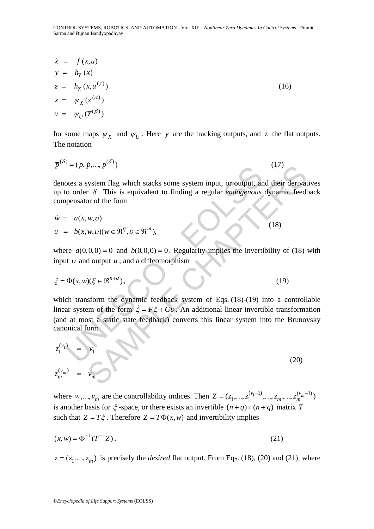$$
\dot{x} = f(x, u)
$$
\n
$$
y = h_Y(x)
$$
\n
$$
z = h_Z(x, \overline{u}^{(y)})
$$
\n
$$
x = \psi_X(\overline{z}^{(\alpha)})
$$
\n
$$
u = \psi_U(\overline{z}^{(\beta)})
$$
\n(16)

for some maps  $\psi_X$  and  $\psi_U$ . Here *y* are the tracking outputs, and *z* the flat outputs. The notation

$$
\overline{p}^{(\delta)} = (p, \dot{p}, \dots, p^{(\delta)})
$$
\n<sup>(17)</sup>

denotes a system flag which stacks some system input, or output, and their derivatives up to order δ . This is equivalent to finding a regular *endogenous* dynamic feedback compensator of the form

$$
\dot{w} = a(x, w, v) \tag{18}
$$

$$
u = b(x, w, v)(w \in \mathbb{R}^q, v \in \mathbb{R}^m),
$$

where  $a(0, 0, 0) = 0$  and  $b(0, 0, 0) = 0$ . Regularity implies the invertibility of (18) with input  $\nu$  and output  $\mu$ ; and a diffeomorphism

$$
\xi = \Phi(x, w)(\xi \in \mathfrak{R}^{n+q}),\tag{19}
$$

 $-(p, p, ..., p)$ <br>
otes a system flag which stacks some system input, or output, and<br>
co order  $\delta$ . This is equivalent to finding a regular *endogenous*<br>
pensator of the form<br>  $= a(x, w, v)$ <br>  $= b(x, w, v)(w \in \mathbb{R}^q, v \in \mathbb{R}^m)$ ,<br>
re which transform the dynamic feedback system of Eqs. (18)-(19) into a controllable linear system of the form  $\dot{\xi} = F\xi + Gv$ . An additional linear invertible transformation (and at most a static state feedback) converts this linear system into the Brunovsky canonical form

$$
p^y = (p, p, ..., p^y)
$$
\ndenotes a system flag which stacks some system input, or output, and their derivat up to order  $\delta$ . This is equivalent to finding a regular *endogenous* dynamic feedback  
\ncompensator of the form  
\n
$$
\dot{w} = a(x, w, v)
$$
\n
$$
u = b(x, w, v)(w \in \mathbb{R}^q, v \in \mathbb{R}^m),
$$
\nwhere  $a(0, 0, 0) = 0$  and  $b(0, 0, 0) = 0$ . Regularity implies the invertibility of (18)  
\ninput v and output u; and a diffeomorphism  
\n
$$
\xi = \Phi(x, w)(\xi \in \mathbb{R}^{n+q}),
$$
\n(19)  
\nwhich transform the dynamic feedback system of Eqs. (18)-(19) into a control  
\nlinear system of the form  $\xi = F\xi + Gv$ . An additional linear invertible transform  
\n(and at most a static state feedback) converts this linear system into the Bruno  
\ncanonical form  
\n
$$
z_1^{(v_1)} = y_1
$$
\n(20)  
\n
$$
z_{m}^{(w_m)} = v_m
$$

where  $v_1, ..., v_m$  are the controllability indices. Then  $Z = (z_1, ..., z_1^{(v_1-1)}, ..., z_m, ..., z_m^{(v_m-1)})$ is another basis for  $\xi$ -space, or there exists an invertible  $(n + q) \times (n + q)$  matrix *T* such that  $Z = T\xi$ . Therefore  $Z = T\Phi(x, w)$  and invertibility implies

$$
(x, w) = \Phi^{-1}(T^{-1}Z). \tag{21}
$$

 $z = (z_1, ..., z_m)$  is precisely the *desired* flat output. From Eqs. (18), (20) and (21), where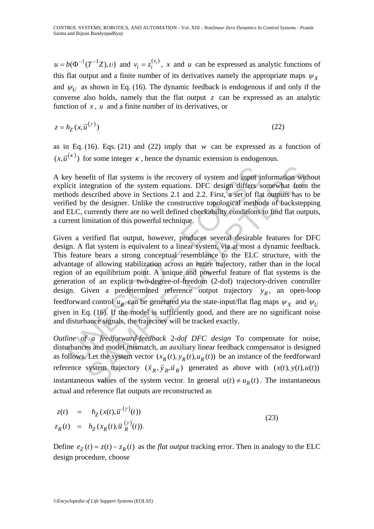$u = b(\Phi^{-1}(T^{-1}Z), \nu)$  and  $v_i = z_i^{(v_i)}$ , x and u can be expressed as analytic functions of this flat output and a finite number of its derivatives namely the appropriate maps  $\psi_{\chi}$ and  $\psi_U$  as shown in Eq. (16). The dynamic feedback is endogenous if and only if the converse also holds, namely that the flat output *z* can be expressed as an analytic function of *x* , *u* and a finite number of its derivatives, or

$$
z = h_Z(x, \overline{u}^{(\gamma)})
$$
\n(22)

as in Eq.  $(16)$ . Eqs.  $(21)$  and  $(22)$  imply that *w* can be expressed as a function of  $(x, \overline{u}^{(\kappa)})$  for some integer  $\kappa$ , hence the dynamic extension is endogenous.

A key benefit of flat systems is the recovery of system and input information without explicit integration of the system equations. DFC design differs somewhat from the methods described above in Sections 2.1 and 2.2. First, a set of flat outputs has to be verified by the designer. Unlike the constructive topological methods of backstepping and ELC, currently there are no well defined checkability conditions to find flat outputs, a current limitation of this powerful technique.

ey benefit of flat systems is the recovery of system and input ir<br>licit integration of the system equations. DFC design differs s<br>hods described above in Sections 2.1 and 2.2. First, a set of flat<br>fied by the designer. Un efit of flat systems is the recovery of system and input information wite<br>geration of the system equations. DFC design differs somewhat from<br>escribed above in Sections 2.1 and 2.2. First, a set of flat outputs has to<br>the Given a verified flat output, however, produces several desirable features for DFC design. A flat system is equivalent to a linear system, via at most a dynamic feedback. This feature bears a strong conceptual resemblance to the ELC structure, with the advantage of allowing stabilization across an entire trajectory, rather than in the local region of an equilibrium point. A unique and powerful feature of flat systems is the generation of an explicit two-degree-of-freedom (2-dof) trajectory-driven controller design. Given a predetermined reference output trajectory  $y_R$ , an open-loop feedforward control  $u_R$  can be generated via the state-input/flat flag maps  $\psi_X$  and  $\psi_U$ given in Eq. (16). If the model is sufficiently good, and there are no significant noise and disturbance signals, the trajectory will be tracked exactly.

*Outline of a feedforward-feedback* 2*-dof DFC design* To compensate for noise, disturbances and model mismatch, an auxiliary linear feedback compensator is designed as follows. Let the system vector  $(x_R(t), y_R(t), u_R(t))$  be an instance of the feedforward reference system trajectory  $(\vec{x}_R, \vec{y}_R, \vec{u}_R)$  generated as above with  $(x(t), y(t), u(t))$ instantaneous values of the system vector. In general  $u(t) \neq u_R(t)$ . The instantaneous actual and reference flat outputs are reconstructed as

$$
z(t) = h_Z(x(t), \overline{u}^{(\gamma)}(t))
$$
  
\n
$$
z_R(t) = h_Z(x_R(t), \overline{u}^{(\gamma)}_R(t)).
$$
\n(23)

Define  $e_Z(t) = z(t) - z_R(t)$  as the *flat output* tracking error. Then in analogy to the ELC design procedure, choose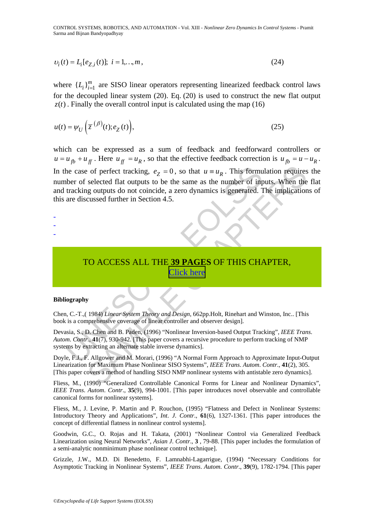CONTROL SYSTEMS, ROBOTICS, AND AUTOMATION - Vol. XIII - *Nonlinear Zero Dynamics In Control Systems* - Pramit Sarma and Bijnan Bandyopadhyay

$$
v_i(t) = L_i[e_{Z,i}(t)]; \ i = 1,...,m,
$$
\n(24)

where  ${L_i}_{i=1}^m$  are SISO linear operators representing linearized feedback control laws for the decoupled linear system (20). Eq. (20) is used to construct the new flat output  $z(t)$ . Finally the overall control input is calculated using the map (16)

$$
u(t) = \psi_U\left(\overline{z}^{(\beta)}(t); e_Z(t)\right),\tag{25}
$$

thecase of perfect tracking,  $e_Z = 0$ , so that  $u = u_R$ . This formulate of selected flat outputs to be the same as the number of imptracking outputs do not coincide, a zero dynamics is generated. The are discussed further i r of perfect tracking,  $e_Z = 0$ , so that  $u \equiv u_R$ . This formulation requires<br>selected flat outputs to be the same as the number of inputs. When the<br>g outputs do not coincide, a zero dynamics is generated. The implication<br>cu which can be expressed as a sum of feedback and feedforward controllers or  $u = u_{fb} + u_{ff}$ . Here  $u_{ff} = u_R$ , so that the effective feedback correction is  $u_{fb} = u - u_R$ . In the case of perfect tracking,  $e_Z = 0$ , so that  $u = u_R$ . This formulation requires the number of selected flat outputs to be the same as the number of inputs. When the flat and tracking outputs do not coincide, a zero dynamics is generated. The implications of this are discussed further in Section 4.5.

-

-

-

TO ACCESS ALL THE **39 PAGES** OF THIS CHAPTER, Click here

#### **Bibliography**

Chen, C.-T.,( 1984) *Linear System Theory and Design*, 662pp.Holt, Rinehart and Winston, Inc.. [This book is a comprehensive coverage of linear controller and observer design].

Devasia, S., D. Chen and B. Paden, (1996) "Nonlinear Inversion-based Output Tracking", *IEEE Trans*. *Autom*. *Contr*., **41**(7), 930-942. [This paper covers a recursive procedure to perform tracking of NMP systems by extracting an alternate stable inverse dynamics].

Doyle, F.J., F. Allgower and M. Morari, (1996) "A Normal Form Approach to Approximate Input-Output Linearization for Maximum Phase Nonlinear SISO Systems", *IEEE Trans*. *Autom*. *Contr*., **41**(2), 305. [This paper covers a method of handling SISO NMP nonlinear systems with antistable zero dynamics].

Fliess, M., (1990) "Generalized Controllable Canonical Forms for Linear and Nonlinear Dynamics", *IEEE Trans*. *Autom*. *Contr*., **35**(9), 994-1001. [This paper introduces novel observable and controllable canonical forms for nonlinear systems].

Fliess, M., J. Levine, P. Martin and P. Rouchon, (1995) "Flatness and Defect in Nonlinear Systems: Introductory Theory and Applications", *Int*. *J*. *Contr*., **61**(6), 1327-1361. [This paper introduces the concept of differential flatness in nonlinear control systems].

Goodwin, G.C., O. Rojas and H. Takata, (2001) "Nonlinear Control via Generalized Feedback Linearization using Neural Networks", *Asian J*. *Contr*., **3** , 79-88. [This paper includes the formulation of a semi-analytic nonminimum phase nonlinear control technique].

Grizzle, J.W., M.D. Di Benedetto, F. Lamnabhi-Lagarrigue, (1994) "Necessary Conditions for Asymptotic Tracking in Nonlinear Systems", *IEEE Trans*. *Autom*. *Contr*., **39**(9), 1782-1794. [This paper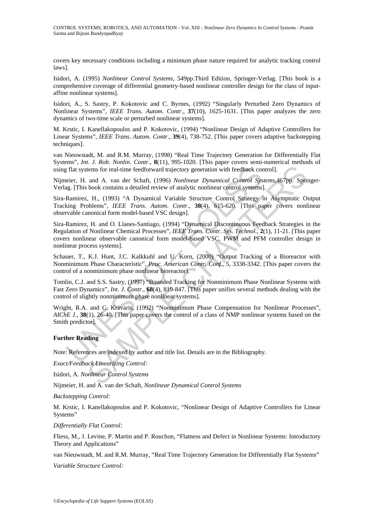covers key necessary conditions including a minimum phase nature required for analytic tracking control laws].

Isidori, A. (1995) *Nonlinear Control Systems*, 549pp.Third Edition, Springer-Verlag. [This book is a comprehensive coverage of differential geometry-based nonlinear controller design for the class of inputaffine nonlinear systems].

Isidori, A., S. Sastry, P. Kokotovic and C. Byrnes, (1992) "Singularly Perturbed Zero Dynamics of Nonlinear Systems", *IEEE Trans*. *Autom*. *Contr*., **37**(10), 1625-1631. [This paper analyzes the zero dynamics of two-time scale or perturbed nonlinear systems].

M. Krstic, I. Kanellakopoulos and P. Kokotovic, (1994) "Nonlinear Design of Adaptive Controllers for Linear Systems", *IEEE Trans*. *Autom*. *Contr*., **39**(4), 738-752. [This paper covers adaptive backstepping techniques].

van Nieuwstadt, M. and R.M. Murray, (1998) "Real Time Trajectory Generation for Differentially Flat Systems", *Int*. *J*. *Rob*. *Nonlin*. *Contr*., **8**(11), 995-1020. [This paper covers semi-numerical methods of using flat systems for real-time feedforward trajectory generation with feedback control].

Nijmeier, H. and A. van der Schaft, (1996) *Nonlinear Dynamical Control Systems*,467pp. Springer-Verlag. [This book contains a detailed review of analytic nonlinear control systems].

Sira-Ramirez, H., (1993) "A Dynamical Variable Structure Control Strategy in Asymptotic Output Tracking Problems", *IEEE Trans*. *Autom*. *Contr*., **38**(4), 615-620. [This paper covers nonlinear observable canonical form model-based VSC design].

g flat systems for real-time feedforward trajectory generation with feedback concicier, H. and A. van der Schaft, (1996) *Nonlinear Dynamical Control Sys*<br>g. [This book contains a detailed review of analytic nonlinear cont tens for real-time feedforward trajectory generation with feedback control].<br>
and A. van der Schaft, (1996) *Nonlinear Dynamical Control Systems*,467pp. Spri<br>
book contains a detailed review of analytic nonlinear control Sira-Ramirez, H. and O. Llanes-Santiago, (1994) "Dynamical Discontinuous Feedback Strategies in the Regulation of Nonlinear Chemical Processes", *IEEE Trans*. *Contr*. *Sys*. *Technol*., **2**(1), 11-21. [This paper covers nonlinear observable canonical form model-based VSC, PWM and PFM controller design in nonlinear process systems].

Schauer, T., K.J. Hunt, J.C. Kalkkuhl and U. Korn, (2000) "Output Tracking of a Bioreactor with Nonminimum Phase Characteristic", *Proc*. *American Contr*. *Conf*., 5, 3338-3342. [This paper covers the control of a nonminimum phase nonlinear bioreactor].

Tomlin, C.J. and S.S. Sastry, (1997) "Bounded Tracking for Nonminimum Phase Nonlinear Systems with Fast Zero Dynamics", *Int*. *J*. *Contr*., **68**(4), 819-847. [This paper unifies several methods dealing with the control of slightly nonminimum phase nonlinear systems].

Wright, R.A. and C. Kravaris, (1992) "Nonminimum Phase Compensation for Nonlinear Processes", *AIChE J*., **38**(1), 26-40. [This paper covers the control of a class of NMP nonlinear systems based on the Smith predictor].

#### **Further Reading**

Note: References are indexed by author and title list. Details are in the Bibliography.

*Exact/Feedback Linearizing Control:*

Isidori, A. *Nonlinear Control Systems*

Nijmeier, H. and A. van der Schaft, *Nonlinear Dynamical Control Systems*

*Backstepping Control:*

M. Krstic, I. Kanellakopoulos and P. Kokotovic, "Nonlinear Design of Adaptive Controllers for Linear Systems"

*Differentially Flat Control:*

Fliess, M., J. Levine, P. Martin and P. Rouchon, "Flatness and Defect in Nonlinear Systems: Introductory Theory and Applications"

van Nieuwstadt, M. and R.M. Murray, "Real Time Trajectory Generation for Differentially Flat Systems"

*Variable Structure Control:*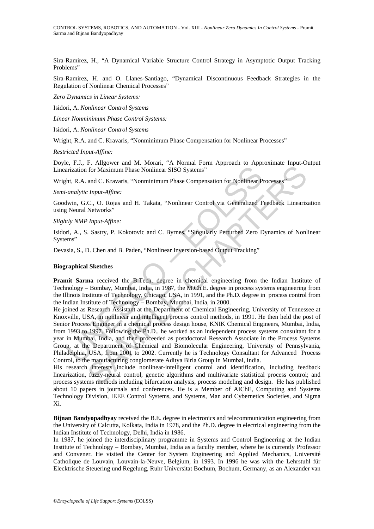Sira-Ramirez, H., "A Dynamical Variable Structure Control Strategy in Asymptotic Output Tracking Problems"

Sira-Ramirez, H. and O. Llanes-Santiago, "Dynamical Discontinuous Feedback Strategies in the Regulation of Nonlinear Chemical Processes"

*Zero Dynamics in Linear Systems:*

Isidori, A. *Nonlinear Control Systems*

*Linear Nonminimum Phase Control Systems:*

Isidori, A. *Nonlinear Control Systems* 

Wright, R.A. and C. Kravaris, "Nonminimum Phase Compensation for Nonlinear Processes"

*Restricted Input-Affine:*

Doyle, F.J., F. Allgower and M. Morari, "A Normal Form Approach to Approximate Input-Output Linearization for Maximum Phase Nonlinear SISO Systems"

Wright, R.A. and C. Kravaris, "Nonminimum Phase Compensation for Nonlinear Processes"

#### *Semi-analytic Input-Affine:*

Goodwin, G.C., O. Rojas and H. Takata, "Nonlinear Control via Generalized Feedback Linearization using Neural Networks"

*Slightly NMP Input-Affine:*

Isidori, A., S. Sastry, P. Kokotovic and C. Byrnes, "Singularly Perturbed Zero Dynamics of Nonlinear Systems"

Devasia, S., D. Chen and B. Paden, "Nonlinear Inversion-based Output Tracking"

#### **Biographical Sketches**

**Pramit Sarma** received the B.Tech. degree in chemical engineering from the Indian Institute of Technology – Bombay, Mumbai, India, in 1987, the M.Ch.E. degree in process systems engineering from the Illinois Institute of Technology, Chicago, USA, in 1991, and the Ph.D. degree in process control from the Indian Institute of Technology – Bombay, Mumbai, India, in 2000.

arization for Maximum Phase Nonlinear SISO Systems"<br>
Arization for Maximum Phase Nonlinear SISO Systems"<br>
Arth, R.A. and C. Kravaris, "Nonminimum Phase Compensation for Nonlinear P<br>
4malytic Input-Affine:<br>
Iwin, G.C., O. R Communist Physical Communistic Communistic Communistic Communistic Communistic Communistic Communistic Communistic Communistic Communistic Communistic Communistic Communistic Communistic Communistic Communistic Communistic He joined as Research Assistant at the Department of Chemical Engineering, University of Tennessee at Knoxville, USA, in nonlinear and intelligent process control methods, in 1991. He then held the post of Senior Process Engineer in a chemical process design house, KNIK Chemical Engineers, Mumbai, India, from 1993 to 1997. Following the Ph.D., he worked as an independent process systems consultant for a year in Mumbai, India, and then proceeded as postdoctoral Research Associate in the Process Systems Group, at the Department of Chemical and Biomolecular Engineering, University of Pennsylvania, Philadelphia, USA, from 2001 to 2002. Currently he is Technology Consultant for Advanced Process Control, to the manufacturing conglomerate Aditya Birla Group in Mumbai, India.

His research interests include nonlinear-intelligent control and identification, including feedback linearization, fuzzy-neural control, genetic algorithms and multivariate statistical process control; and process systems methods including bifurcation analysis, process modeling and design. He has published about 10 papers in journals and conferences. He is a Member of AIChE, Computing and Systems Technology Division, IEEE Control Systems, and Systems, Man and Cybernetics Societies, and Sigma Xi.

**Bijnan Bandyopadhyay** received the B.E. degree in electronics and telecommunication engineering from the University of Calcutta, Kolkata, India in 1978, and the Ph.D. degree in electrical engineering from the Indian Institute of Technology, Delhi, India in 1986.

In 1987, he joined the interdisciplinary programme in Systems and Control Engineering at the Indian Institute of Technology – Bombay, Mumbai, India as a faculty member, where he is currently Professor and Convener. He visited the Center for System Engineering and Applied Mechanics, Université Catholique de Louvain, Louvain-la-Neuve, Belgium, in 1993. In 1996 he was with the Lehrstuhl für Elecktrische Steuering und Regelung, Ruhr Universitat Bochum, Bochum, Germany, as an Alexander van